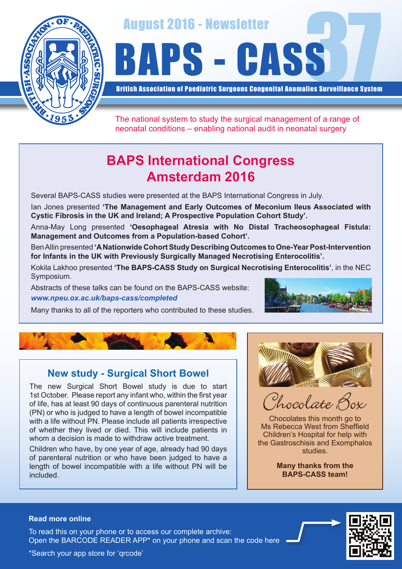

August 2016 - Newsletter<br>BAPS - CASS

British Association of Paediatric Surgeons Congenital Anomalies Surveillance System

The national system to study the surgical management of a range of neonatal conditions – enabling national audit in neonatal surgery

# **BAPS International Congress Amsterdam 2016**

Several BAPS-CASS studies were presented at the BAPS International Congress in July.

Ian Jones presented **'The Management and Early Outcomes of Meconium Ileus Associated with Cystic Fibrosis in the UK and Ireland; A Prospective Population Cohort Study'.**

Anna-May Long presented **'Oesophageal Atresia with No Distal Tracheosophageal Fistula: Management and Outcomes from a Population-based Cohort'.**

Ben Allin presented **'A Nationwide Cohort Study Describing Outcomes to One-Year Post-Intervention for Infants in the UK with Previously Surgically Managed Necrotising Enterocolitis'.**

Kokila Lakhoo presented **'The BAPS-CASS Study on Surgical Necrotising Enterocolitis'**, in the NEC Symposium.

Abstracts of these talks can be found on the BAPS-CASS website: *www.npeu.ox.ac.uk/baps-cass/completed*



Many thanks to all of the reporters who contributed to these studies.

## **New study - Surgical Short Bowel**

The new Surgical Short Bowel study is due to start 1st October. Please report any infant who, within the first year of life, has at least 90 days of continuous parenteral nutrition (PN) or who is judged to have a length of bowel incompatible with a life without PN. Please include all patients irrespective of whether they lived or died. This will include patients in whom a decision is made to withdraw active treatment.

Children who have, by one year of age, already had 90 days of parenteral nutrition or who have been judged to have a length of bowel incompatible with a life without PN will be included.



Chocolate Box

Chocolates this month go to Ms Rebecca West from Sheffield Children's Hospital for help with the Gastroschisis and Exomphalos studies.

> **Many thanks from the BAPS-CASS team!**

#### **Read more online**

Open the BARCODE READER APP\* on your phone and scan the code here To read this on your phone or to access our complete archive: